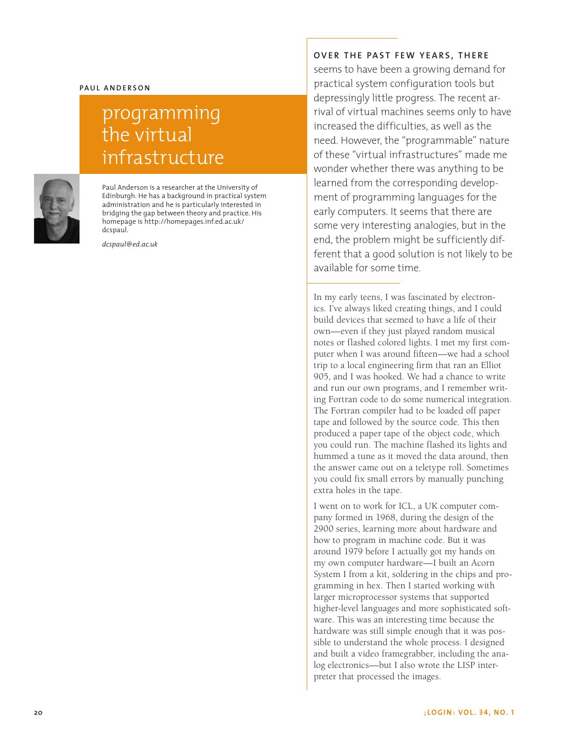#### **Paul A nde r son**

# programming the virtual infrastructure



Paul Anderson is a researcher at the University of Edinburgh. He has a background in practical system administration and he is particularly interested in bridging the gap between theory and practice. His homepage is http://homepages.inf.ed.ac.uk/ dcspaul.

*dcspaul@ed.ac.uk*

### **OVER THE PAST FEW YEARS, THERE**

seems to have been a growing demand for practical system configuration tools but depressingly little progress. The recent arrival of virtual machines seems only to have increased the difficulties, as well as the need. However, the "programmable" nature of these "virtual infrastructures" made me wonder whether there was anything to be learned from the corresponding development of programming languages for the early computers. It seems that there are some very interesting analogies, but in the end, the problem might be sufficiently different that a good solution is not likely to be available for some time.

In my early teens, I was fascinated by electronics. I've always liked creating things, and I could build devices that seemed to have a life of their own—even if they just played random musical notes or flashed colored lights. I met my first computer when I was around fifteen—we had a school trip to a local engineering firm that ran an Elliot 905, and I was hooked. We had a chance to write and run our own programs, and I remember writing Fortran code to do some numerical integration. The Fortran compiler had to be loaded off paper tape and followed by the source code. This then produced a paper tape of the object code, which you could run. The machine flashed its lights and hummed a tune as it moved the data around, then the answer came out on a teletype roll. Sometimes you could fix small errors by manually punching extra holes in the tape.

I went on to work for ICL, a UK computer company formed in 1968, during the design of the 2900 series, learning more about hardware and how to program in machine code. But it was around 1979 before I actually got my hands on my own computer hardware—I built an Acorn System I from a kit, soldering in the chips and programming in hex. Then I started working with larger microprocessor systems that supported higher-level languages and more sophisticated software. This was an interesting time because the hardware was still simple enough that it was possible to understand the whole process. I designed and built a video framegrabber, including the analog electronics—but I also wrote the LISP interpreter that processed the images.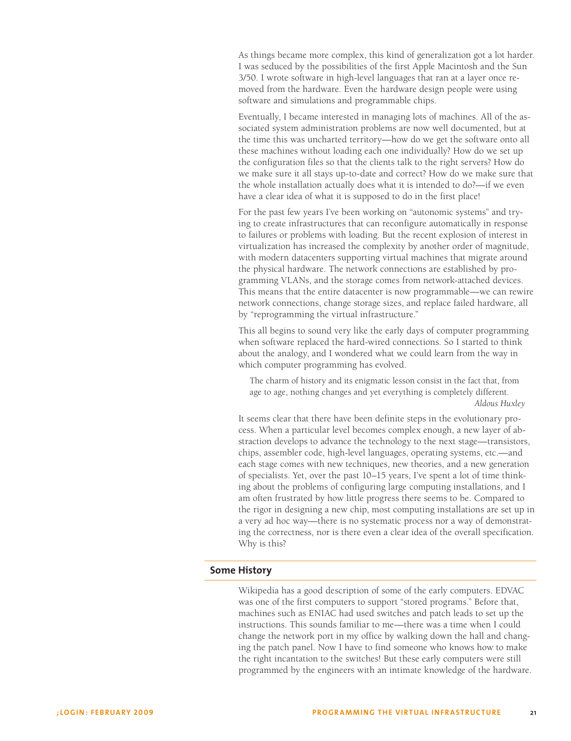As things became more complex, this kind of generalization got a lot harder. I was seduced by the possibilities of the first Apple Macintosh and the Sun 3/50. I wrote software in high-level languages that ran at a layer once removed from the hardware. Even the hardware design people were using software and simulations and programmable chips.

Eventually, I became interested in managing lots of machines. All of the associated system administration problems are now well documented, but at the time this was uncharted territory—how do we get the software onto all these machines without loading each one individually? How do we set up the configuration files so that the clients talk to the right servers? How do we make sure it all stays up-to-date and correct? How do we make sure that the whole installation actually does what it is intended to do?—if we even have a clear idea of what it is supposed to do in the first place!

For the past few years I've been working on "autonomic systems" and trying to create infrastructures that can reconfigure automatically in response to failures or problems with loading. But the recent explosion of interest in virtualization has increased the complexity by another order of magnitude, with modern datacenters supporting virtual machines that migrate around the physical hardware. The network connections are established by programming VLANs, and the storage comes from network-attached devices. This means that the entire datacenter is now programmable—we can rewire network connections, change storage sizes, and replace failed hardware, all by "reprogramming the virtual infrastructure."

This all begins to sound very like the early days of computer programming when software replaced the hard-wired connections. So I started to think about the analogy, and I wondered what we could learn from the way in which computer programming has evolved.

The charm of history and its enigmatic lesson consist in the fact that, from age to age, nothing changes and yet everything is completely different. *Aldous Huxley*

It seems clear that there have been definite steps in the evolutionary process. When a particular level becomes complex enough, a new layer of abstraction develops to advance the technology to the next stage—transistors, chips, assembler code, high-level languages, operating systems, etc.—and each stage comes with new techniques, new theories, and a new generation of specialists. Yet, over the past 10–15 years, I've spent a lot of time thinking about the problems of configuring large computing installations, and I am often frustrated by how little progress there seems to be. Compared to the rigor in designing a new chip, most computing installations are set up in a very ad hoc way—there is no systematic process nor a way of demonstrating the correctness, nor is there even a clear idea of the overall specification. Why is this?

#### **Some History**

Wikipedia has a good description of some of the early computers. EDVAC was one of the first computers to support "stored programs." Before that, machines such as ENIAC had used switches and patch leads to set up the instructions. This sounds familiar to me—there was a time when I could change the network port in my office by walking down the hall and changing the patch panel. Now I have to find someone who knows how to make the right incantation to the switches! But these early computers were still programmed by the engineers with an intimate knowledge of the hardware.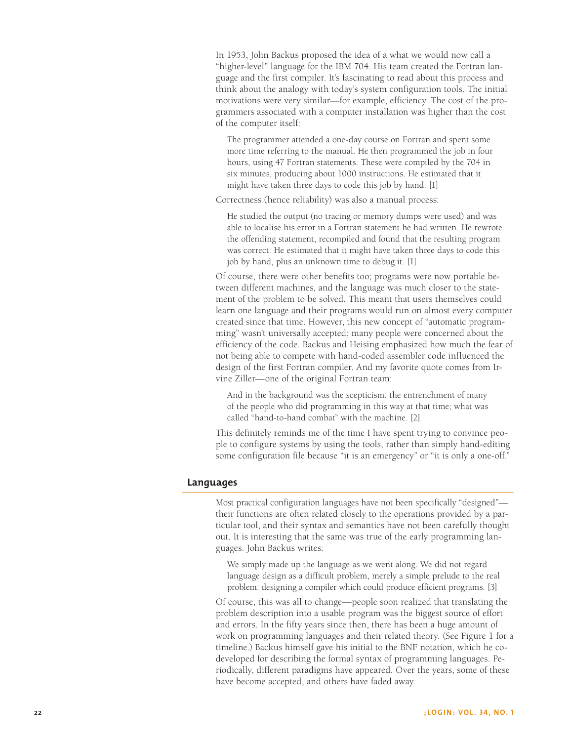In 1953, John Backus proposed the idea of a what we would now call a "higher-level" language for the IBM 704. His team created the Fortran language and the first compiler. It's fascinating to read about this process and think about the analogy with today's system configuration tools. The initial motivations were very similar—for example, efficiency. The cost of the programmers associated with a computer installation was higher than the cost of the computer itself:

The programmer attended a one-day course on Fortran and spent some more time referring to the manual. He then programmed the job in four hours, using 47 Fortran statements. These were compiled by the 704 in six minutes, producing about 1000 instructions. He estimated that it might have taken three days to code this job by hand. [1]

Correctness (hence reliability) was also a manual process:

He studied the output (no tracing or memory dumps were used) and was able to localise his error in a Fortran statement he had written. He rewrote the offending statement, recompiled and found that the resulting program was correct. He estimated that it might have taken three days to code this job by hand, plus an unknown time to debug it. [1]

Of course, there were other benefits too; programs were now portable between different machines, and the language was much closer to the statement of the problem to be solved. This meant that users themselves could learn one language and their programs would run on almost every computer created since that time. However, this new concept of "automatic programming" wasn't universally accepted; many people were concerned about the efficiency of the code. Backus and Heising emphasized how much the fear of not being able to compete with hand-coded assembler code influenced the design of the first Fortran compiler. And my favorite quote comes from Irvine Ziller—one of the original Fortran team:

And in the background was the scepticism, the entrenchment of many of the people who did programming in this way at that time; what was called "hand-to-hand combat" with the machine. [2]

This definitely reminds me of the time I have spent trying to convince people to configure systems by using the tools, rather than simply hand-editing some configuration file because "it is an emergency" or "it is only a one-off."

### **Languages**

Most practical configuration languages have not been specifically "designed" their functions are often related closely to the operations provided by a particular tool, and their syntax and semantics have not been carefully thought out. It is interesting that the same was true of the early programming languages. John Backus writes:

We simply made up the language as we went along. We did not regard language design as a difficult problem, merely a simple prelude to the real problem: designing a compiler which could produce efficient programs. [3]

Of course, this was all to change—people soon realized that translating the problem description into a usable program was the biggest source of effort and errors. In the fifty years since then, there has been a huge amount of work on programming languages and their related theory. (See Figure 1 for a timeline.) Backus himself gave his initial to the BNF notation, which he codeveloped for describing the formal syntax of programming languages. Periodically, different paradigms have appeared. Over the years, some of these have become accepted, and others have faded away.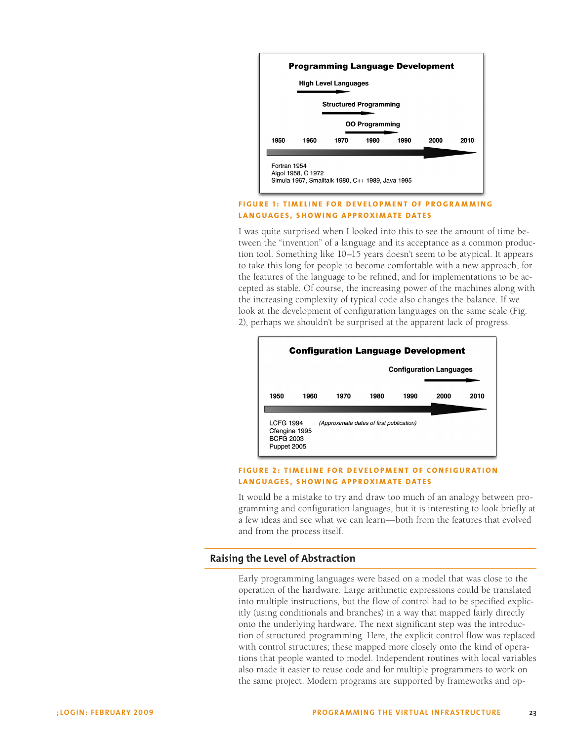

### **FIGURE 1: TIMELINE FOR DEVELOPMENT OF PROGRAMMING LANGUAGES, SHOWING APPROXIMATE DATES**

I was quite surprised when I looked into this to see the amount of time between the "invention" of a language and its acceptance as a common production tool. Something like 10–15 years doesn't seem to be atypical. It appears to take this long for people to become comfortable with a new approach, for the features of the language to be refined, and for implementations to be accepted as stable. Of course, the increasing power of the machines along with the increasing complexity of typical code also changes the balance. If we look at the development of configuration languages on the same scale (Fig. 2), perhaps we shouldn't be surprised at the apparent lack of progress.



#### **FIGURE 2: TIMELINE FOR DEVELOPMENT OF CONFIGURATION LANGUAGES, SHOWING APPROXIMATE DATES**

It would be a mistake to try and draw too much of an analogy between programming and configuration languages, but it is interesting to look briefly at a few ideas and see what we can learn—both from the features that evolved and from the process itself.

# **Raising the Level of Abstraction**

Early programming languages were based on a model that was close to the operation of the hardware. Large arithmetic expressions could be translated into multiple instructions, but the flow of control had to be specified explicitly (using conditionals and branches) in a way that mapped fairly directly onto the underlying hardware. The next significant step was the introduction of structured programming. Here, the explicit control flow was replaced with control structures; these mapped more closely onto the kind of operations that people wanted to model. Independent routines with local variables also made it easier to reuse code and for multiple programmers to work on the same project. Modern programs are supported by frameworks and op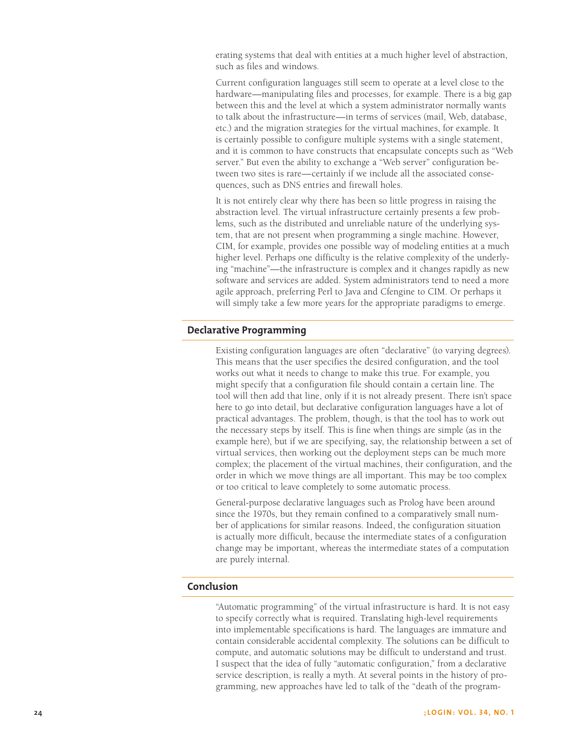erating systems that deal with entities at a much higher level of abstraction, such as files and windows.

Current configuration languages still seem to operate at a level close to the hardware—manipulating files and processes, for example. There is a big gap between this and the level at which a system administrator normally wants to talk about the infrastructure—in terms of services (mail, Web, database, etc.) and the migration strategies for the virtual machines, for example. It is certainly possible to configure multiple systems with a single statement, and it is common to have constructs that encapsulate concepts such as "Web server." But even the ability to exchange a "Web server" configuration between two sites is rare—certainly if we include all the associated consequences, such as DNS entries and firewall holes.

It is not entirely clear why there has been so little progress in raising the abstraction level. The virtual infrastructure certainly presents a few problems, such as the distributed and unreliable nature of the underlying system, that are not present when programming a single machine. However, CIM, for example, provides one possible way of modeling entities at a much higher level. Perhaps one difficulty is the relative complexity of the underlying "machine"—the infrastructure is complex and it changes rapidly as new software and services are added. System administrators tend to need a more agile approach, preferring Perl to Java and Cfengine to CIM. Or perhaps it will simply take a few more years for the appropriate paradigms to emerge.

### **Declarative Programming**

Existing configuration languages are often "declarative" (to varying degrees). This means that the user specifies the desired configuration, and the tool works out what it needs to change to make this true. For example, you might specify that a configuration file should contain a certain line. The tool will then add that line, only if it is not already present. There isn't space here to go into detail, but declarative configuration languages have a lot of practical advantages. The problem, though, is that the tool has to work out the necessary steps by itself. This is fine when things are simple (as in the example here), but if we are specifying, say, the relationship between a set of virtual services, then working out the deployment steps can be much more complex; the placement of the virtual machines, their configuration, and the order in which we move things are all important. This may be too complex or too critical to leave completely to some automatic process.

General-purpose declarative languages such as Prolog have been around since the 1970s, but they remain confined to a comparatively small number of applications for similar reasons. Indeed, the configuration situation is actually more difficult, because the intermediate states of a configuration change may be important, whereas the intermediate states of a computation are purely internal.

## **Conclusion**

"Automatic programming" of the virtual infrastructure is hard. It is not easy to specify correctly what is required. Translating high-level requirements into implementable specifications is hard. The languages are immature and contain considerable accidental complexity. The solutions can be difficult to compute, and automatic solutions may be difficult to understand and trust. I suspect that the idea of fully "automatic configuration," from a declarative service description, is really a myth. At several points in the history of programming, new approaches have led to talk of the "death of the program